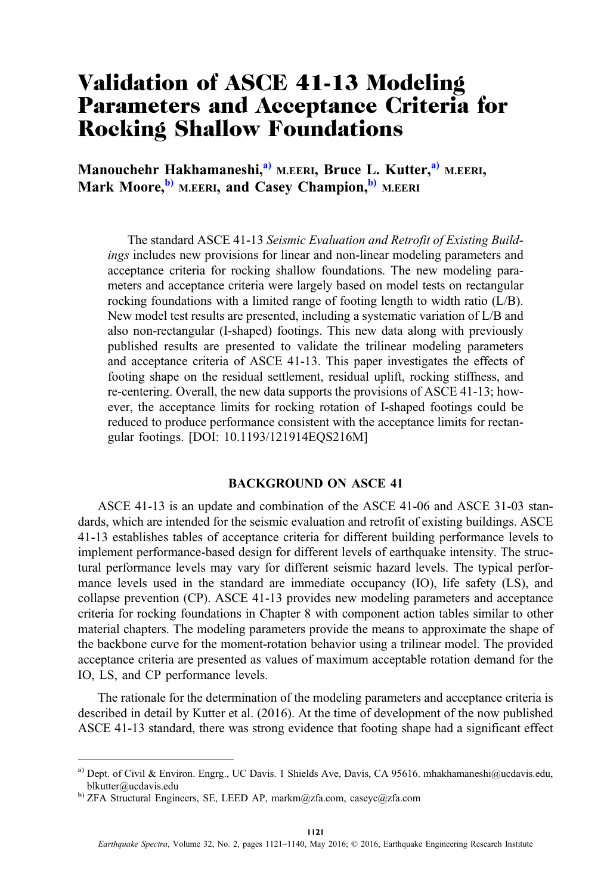# Validation of ASCE 41-13 Modeling Parameters and Acceptance Criteria for Rocking Shallow Foundations

Manouchehr Hakhamaneshi,<sup>a)</sup> M.EERI, Bruce L. Kutter,<sup>a)</sup> M.EERI, Mark Moore, <sup>b)</sup> M.EERI, and Casey Champion, <sup>b)</sup> M.EERI

The standard ASCE 41-13 Seismic Evaluation and Retrofit of Existing Buildings includes new provisions for linear and non-linear modeling parameters and acceptance criteria for rocking shallow foundations. The new modeling parameters and acceptance criteria were largely based on model tests on rectangular rocking foundations with a limited range of footing length to width ratio (L/B). New model test results are presented, including a systematic variation of L/B and also non-rectangular (I-shaped) footings. This new data along with previously published results are presented to validate the trilinear modeling parameters and acceptance criteria of ASCE 41-13. This paper investigates the effects of footing shape on the residual settlement, residual uplift, rocking stiffness, and re-centering. Overall, the new data supports the provisions of ASCE 41-13; however, the acceptance limits for rocking rotation of I-shaped footings could be reduced to produce performance consistent with the acceptance limits for rectangular footings. [DOI: 10.1193/121914EQS216M]

# BACKGROUND ON ASCE 41

ASCE 41-13 is an update and combination of the ASCE 41-06 and ASCE 31-03 standards, which are intended for the seismic evaluation and retrofit of existing buildings. ASCE 41-13 establishes tables of acceptance criteria for different building performance levels to implement performance-based design for different levels of earthquake intensity. The structural performance levels may vary for different seismic hazard levels. The typical performance levels used in the standard are immediate occupancy (IO), life safety (LS), and collapse prevention (CP). ASCE 41-13 provides new modeling parameters and acceptance criteria for rocking foundations in Chapter 8 with component action tables similar to other material chapters. The modeling parameters provide the means to approximate the shape of the backbone curve for the moment-rotation behavior using a trilinear model. The provided acceptance criteria are presented as values of maximum acceptable rotation demand for the IO, LS, and CP performance levels.

The rationale for the determination of the modeling parameters and acceptance criteria is described in detail by Kutter et al. (2016). At the time of development of the now published ASCE 41-13 standard, there was strong evidence that footing shape had a significant effect

a) Dept. of Civil & Environ. Engrg., UC Davis. 1 Shields Ave, Davis, CA 95616. mhakhamaneshi@ucdavis.edu, blkutter@ucdavis.edu

b) ZFA Structural Engineers, SE, LEED AP, markm@zfa.com, caseyc@zfa.com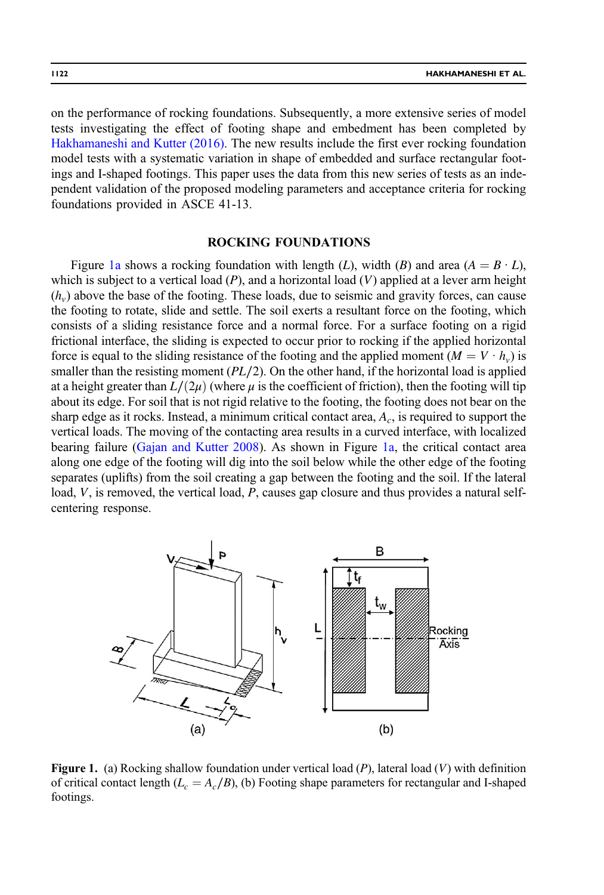<span id="page-1-0"></span>on the performance of rocking foundations. Subsequently, a more extensive series of model tests investigating the effect of footing shape and embedment has been completed by [Hakhamaneshi and Kutter \(2016\)](#page-19-0). The new results include the first ever rocking foundation model tests with a systematic variation in shape of embedded and surface rectangular footings and I-shaped footings. This paper uses the data from this new series of tests as an independent validation of the proposed modeling parameters and acceptance criteria for rocking foundations provided in ASCE 41-13.

## ROCKING FOUNDATIONS

Figure 1a shows a rocking foundation with length (L), width (B) and area ( $A = B \cdot L$ ), which is subject to a vertical load  $(P)$ , and a horizontal load  $(V)$  applied at a lever arm height  $(h<sub>v</sub>)$  above the base of the footing. These loads, due to seismic and gravity forces, can cause the footing to rotate, slide and settle. The soil exerts a resultant force on the footing, which consists of a sliding resistance force and a normal force. For a surface footing on a rigid frictional interface, the sliding is expected to occur prior to rocking if the applied horizontal force is equal to the sliding resistance of the footing and the applied moment  $(M = V \cdot h_v)$  is smaller than the resisting moment  $(PL/2)$ . On the other hand, if the horizontal load is applied at a height greater than  $L/(2\mu)$  (where  $\mu$  is the coefficient of friction), then the footing will tip about its edge. For soil that is not rigid relative to the footing, the footing does not bear on the sharp edge as it rocks. Instead, a minimum critical contact area,  $A_c$ , is required to support the vertical loads. The moving of the contacting area results in a curved interface, with localized bearing failure ([Gajan and Kutter 2008\)](#page-18-0). As shown in Figure 1a, the critical contact area along one edge of the footing will dig into the soil below while the other edge of the footing separates (uplifts) from the soil creating a gap between the footing and the soil. If the lateral load, V, is removed, the vertical load, P, causes gap closure and thus provides a natural selfcentering response.



**Figure 1.** (a) Rocking shallow foundation under vertical load  $(P)$ , lateral load  $(V)$  with definition of critical contact length ( $L_c = A_c/B$ ), (b) Footing shape parameters for rectangular and I-shaped footings.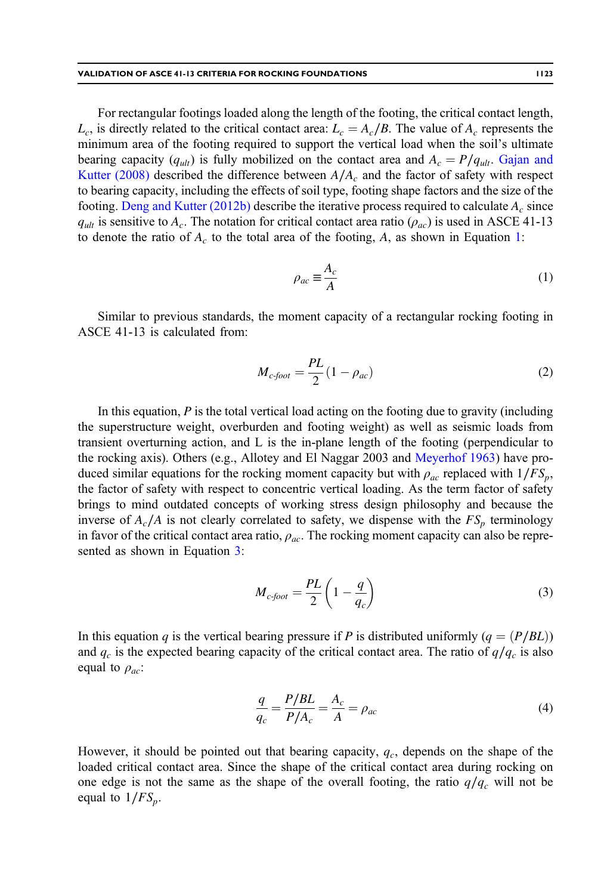<span id="page-2-0"></span>For rectangular footings loaded along the length of the footing, the critical contact length,  $L_c$ , is directly related to the critical contact area:  $L_c = A_c/B$ . The value of  $A_c$  represents the minimum area of the footing required to support the vertical load when the soil's ultimate bearing capacity ( $q_{ult}$ ) is fully mobilized on the contact area and  $A_c = P/q_{ult}$ . [Gajan and](#page-18-0) [Kutter \(2008\)](#page-18-0) described the difference between  $A/A_c$  and the factor of safety with respect to bearing capacity, including the effects of soil type, footing shape factors and the size of the footing. [Deng and Kutter \(2012b\)](#page-18-0) describe the iterative process required to calculate  $A_c$  since  $q_{ult}$  is sensitive to  $A_c$ . The notation for critical contact area ratio  $(\rho_{ac})$  is used in ASCE 41-13 to denote the ratio of  $A_c$  to the total area of the footing, A, as shown in Equation 1:

$$
\rho_{ac} \equiv \frac{A_c}{A} \tag{1}
$$

Similar to previous standards, the moment capacity of a rectangular rocking footing in ASCE 41-13 is calculated from:

$$
M_{c\text{-foot}} = \frac{PL}{2}(1 - \rho_{ac})\tag{2}
$$

In this equation,  $P$  is the total vertical load acting on the footing due to gravity (including the superstructure weight, overburden and footing weight) as well as seismic loads from transient overturning action, and L is the in-plane length of the footing (perpendicular to the rocking axis). Others (e.g., Allotey and El Naggar 2003 and [Meyerhof 1963\)](#page-19-0) have produced similar equations for the rocking moment capacity but with  $\rho_{ac}$  replaced with  $1/FS_p$ , the factor of safety with respect to concentric vertical loading. As the term factor of safety brings to mind outdated concepts of working stress design philosophy and because the inverse of  $A_c/A$  is not clearly correlated to safety, we dispense with the  $FS_p$  terminology in favor of the critical contact area ratio,  $\rho_{ac}$ . The rocking moment capacity can also be represented as shown in Equation 3:

$$
M_{c\text{-foot}} = \frac{PL}{2} \left( 1 - \frac{q}{q_c} \right) \tag{3}
$$

In this equation q is the vertical bearing pressure if P is distributed uniformly ( $q = (P/BL)$ ) and  $q_c$  is the expected bearing capacity of the critical contact area. The ratio of  $q/q_c$  is also equal to  $\rho_{ac}$ :

$$
\frac{q}{q_c} = \frac{P/BL}{P/A_c} = \frac{A_c}{A} = \rho_{ac}
$$
\n(4)

However, it should be pointed out that bearing capacity,  $q_c$ , depends on the shape of the loaded critical contact area. Since the shape of the critical contact area during rocking on one edge is not the same as the shape of the overall footing, the ratio  $q/q_c$  will not be equal to  $1/FS_p$ .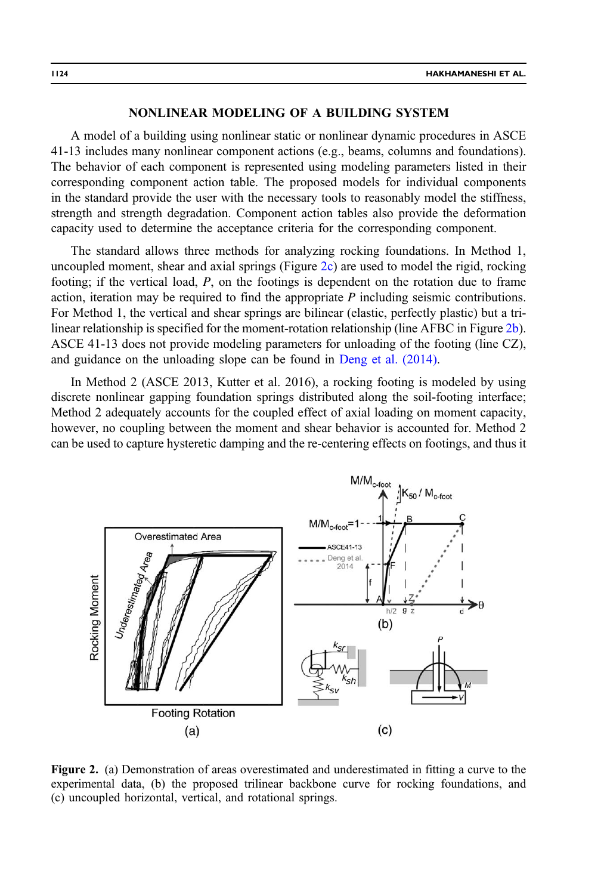# NONLINEAR MODELING OF A BUILDING SYSTEM

<span id="page-3-0"></span>A model of a building using nonlinear static or nonlinear dynamic procedures in ASCE 41-13 includes many nonlinear component actions (e.g., beams, columns and foundations). The behavior of each component is represented using modeling parameters listed in their corresponding component action table. The proposed models for individual components in the standard provide the user with the necessary tools to reasonably model the stiffness, strength and strength degradation. Component action tables also provide the deformation capacity used to determine the acceptance criteria for the corresponding component.

The standard allows three methods for analyzing rocking foundations. In Method 1, uncoupled moment, shear and axial springs (Figure 2c) are used to model the rigid, rocking footing; if the vertical load, P, on the footings is dependent on the rotation due to frame action, iteration may be required to find the appropriate P including seismic contributions. For Method 1, the vertical and shear springs are bilinear (elastic, perfectly plastic) but a trilinear relationship is specified for the moment-rotation relationship (line AFBC in Figure 2b). ASCE 41-13 does not provide modeling parameters for unloading of the footing (line CZ), and guidance on the unloading slope can be found in [Deng et al. \(2014\).](#page-18-0)

In Method 2 (ASCE 2013, Kutter et al. 2016), a rocking footing is modeled by using discrete nonlinear gapping foundation springs distributed along the soil-footing interface; Method 2 adequately accounts for the coupled effect of axial loading on moment capacity, however, no coupling between the moment and shear behavior is accounted for. Method 2 can be used to capture hysteretic damping and the re-centering effects on footings, and thus it



Figure 2. (a) Demonstration of areas overestimated and underestimated in fitting a curve to the experimental data, (b) the proposed trilinear backbone curve for rocking foundations, and (c) uncoupled horizontal, vertical, and rotational springs.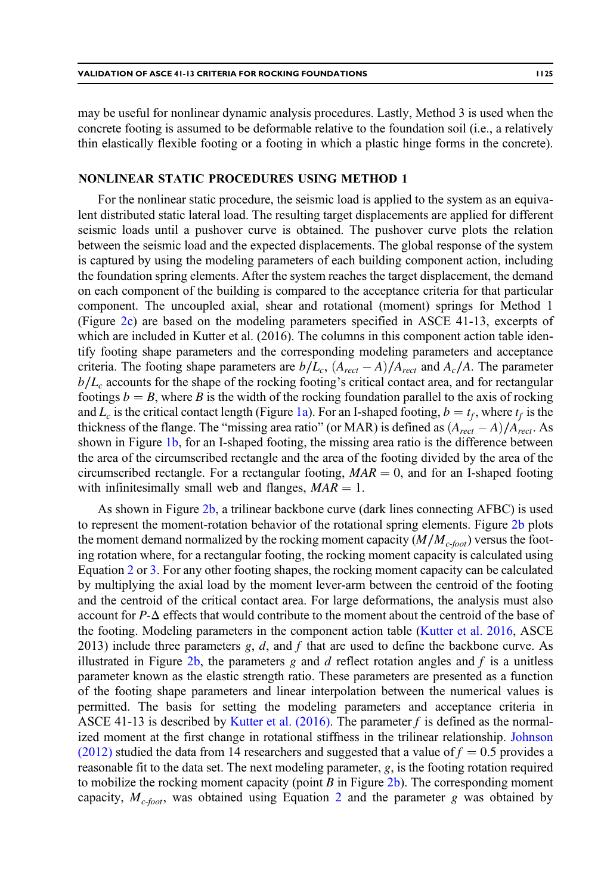may be useful for nonlinear dynamic analysis procedures. Lastly, Method 3 is used when the concrete footing is assumed to be deformable relative to the foundation soil (i.e., a relatively thin elastically flexible footing or a footing in which a plastic hinge forms in the concrete).

## NONLINEAR STATIC PROCEDURES USING METHOD 1

For the nonlinear static procedure, the seismic load is applied to the system as an equivalent distributed static lateral load. The resulting target displacements are applied for different seismic loads until a pushover curve is obtained. The pushover curve plots the relation between the seismic load and the expected displacements. The global response of the system is captured by using the modeling parameters of each building component action, including the foundation spring elements. After the system reaches the target displacement, the demand on each component of the building is compared to the acceptance criteria for that particular component. The uncoupled axial, shear and rotational (moment) springs for Method 1 (Figure [2c](#page-3-0)) are based on the modeling parameters specified in ASCE 41-13, excerpts of which are included in Kutter et al. (2016). The columns in this component action table identify footing shape parameters and the corresponding modeling parameters and acceptance criteria. The footing shape parameters are  $b/L_c$ ,  $(A_{rect} - A)/A_{rect}$  and  $A_c/A$ . The parameter  $b/L<sub>c</sub>$  accounts for the shape of the rocking footing's critical contact area, and for rectangular footings  $b = B$ , where B is the width of the rocking foundation parallel to the axis of rocking and  $L_c$  is the critical contact length (Figure [1a\)](#page-1-0). For an I-shaped footing,  $b = t_f$ , where  $t_f$  is the thickness of the flange. The "missing area ratio" (or MAR) is defined as  $(A_{rect} - A)/A_{rect}$ . As shown in Figure [1b,](#page-1-0) for an I-shaped footing, the missing area ratio is the difference between the area of the circumscribed rectangle and the area of the footing divided by the area of the circumscribed rectangle. For a rectangular footing,  $MAR = 0$ , and for an I-shaped footing with infinitesimally small web and flanges,  $MAR = 1$ .

As shown in Figure [2b](#page-3-0), a trilinear backbone curve (dark lines connecting AFBC) is used to represent the moment-rotation behavior of the rotational spring elements. Figure [2b](#page-3-0) plots the moment demand normalized by the rocking moment capacity  $(M/M_{c\text{-}foot}$ ) versus the footing rotation where, for a rectangular footing, the rocking moment capacity is calculated using Equation [2](#page-2-0) or [3](#page-2-0). For any other footing shapes, the rocking moment capacity can be calculated by multiplying the axial load by the moment lever-arm between the centroid of the footing and the centroid of the critical contact area. For large deformations, the analysis must also account for P-Δ effects that would contribute to the moment about the centroid of the base of the footing. Modeling parameters in the component action table [\(Kutter et al. 2016,](#page-19-0) ASCE 2013) include three parameters  $g, d$ , and f that are used to define the backbone curve. As illustrated in Figure [2b](#page-3-0), the parameters g and d reflect rotation angles and f is a unitless parameter known as the elastic strength ratio. These parameters are presented as a function of the footing shape parameters and linear interpolation between the numerical values is permitted. The basis for setting the modeling parameters and acceptance criteria in ASCE 41-13 is described by [Kutter et al. \(2016\).](#page-19-0) The parameter f is defined as the normalized moment at the first change in rotational stiffness in the trilinear relationship. [Johnson](#page-19-0) [\(2012\)](#page-19-0) studied the data from 14 researchers and suggested that a value of  $f = 0.5$  provides a reasonable fit to the data set. The next modeling parameter,  $g$ , is the footing rotation required to mobilize the rocking moment capacity (point  $B$  in Figure [2b](#page-3-0)). The corresponding moment capacity,  $M_{c\text{-foot}}$ , was obtained using Equation [2](#page-2-0) and the parameter g was obtained by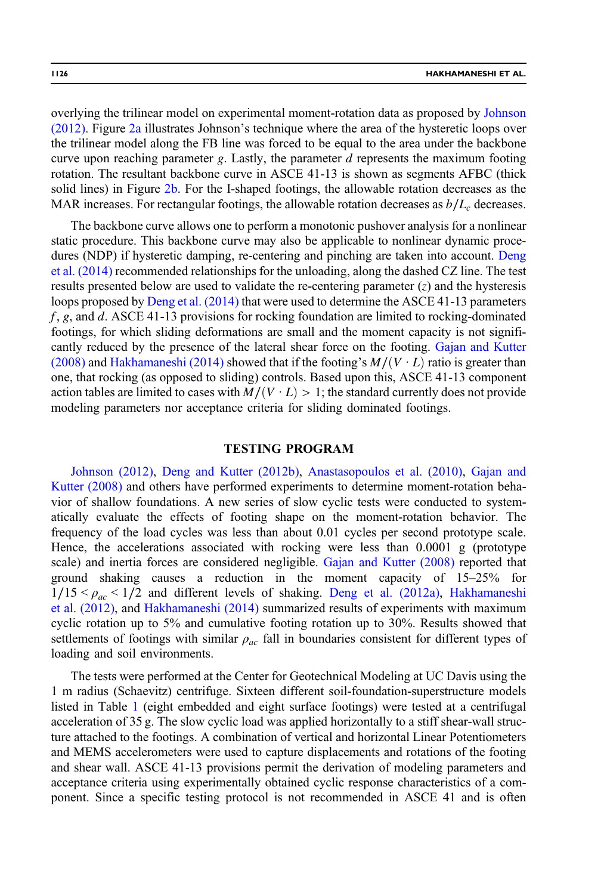overlying the trilinear model on experimental moment-rotation data as proposed by [Johnson](#page-19-0) [\(2012\).](#page-19-0) Figure [2a](#page-3-0) illustrates Johnson's technique where the area of the hysteretic loops over the trilinear model along the FB line was forced to be equal to the area under the backbone curve upon reaching parameter g. Lastly, the parameter  $d$  represents the maximum footing rotation. The resultant backbone curve in ASCE 41-13 is shown as segments AFBC (thick solid lines) in Figure [2b.](#page-3-0) For the I-shaped footings, the allowable rotation decreases as the MAR increases. For rectangular footings, the allowable rotation decreases as  $b/L_c$  decreases.

The backbone curve allows one to perform a monotonic pushover analysis for a nonlinear static procedure. This backbone curve may also be applicable to nonlinear dynamic procedures (NDP) if hysteretic damping, re-centering and pinching are taken into account. [Deng](#page-18-0) [et al. \(2014\)](#page-18-0) recommended relationships for the unloading, along the dashed CZ line. The test results presented below are used to validate the re-centering parameter  $(z)$  and the hysteresis loops proposed by [Deng et al. \(2014\)](#page-18-0) that were used to determine the ASCE 41-13 parameters  $f$ , g, and d. ASCE 41-13 provisions for rocking foundation are limited to rocking-dominated footings, for which sliding deformations are small and the moment capacity is not significantly reduced by the presence of the lateral shear force on the footing. [Gajan and Kutter](#page-18-0) [\(2008\)](#page-18-0) and [Hakhamaneshi \(2014\)](#page-18-0) showed that if the footing's  $M/(V \cdot L)$  ratio is greater than one, that rocking (as opposed to sliding) controls. Based upon this, ASCE 41-13 component action tables are limited to cases with  $M/(V \cdot L) > 1$ ; the standard currently does not provide modeling parameters nor acceptance criteria for sliding dominated footings.

## TESTING PROGRAM

[Johnson \(2012\)](#page-19-0), [Deng and Kutter \(2012b\),](#page-18-0) [Anastasopoulos et al. \(2010\)](#page-18-0), [Gajan and](#page-18-0) [Kutter \(2008\)](#page-18-0) and others have performed experiments to determine moment-rotation behavior of shallow foundations. A new series of slow cyclic tests were conducted to systematically evaluate the effects of footing shape on the moment-rotation behavior. The frequency of the load cycles was less than about 0.01 cycles per second prototype scale. Hence, the accelerations associated with rocking were less than 0.0001 g (prototype scale) and inertia forces are considered negligible. [Gajan and Kutter \(2008\)](#page-18-0) reported that ground shaking causes a reduction in the moment capacity of 15–25% for  $1/15 < \rho_{ac} < 1/2$  and different levels of shaking. [Deng et al. \(2012a\),](#page-18-0) [Hakhamaneshi](#page-18-0) [et al. \(2012\)](#page-18-0), and [Hakhamaneshi \(2014\)](#page-18-0) summarized results of experiments with maximum cyclic rotation up to 5% and cumulative footing rotation up to 30%. Results showed that settlements of footings with similar  $\rho_{ac}$  fall in boundaries consistent for different types of loading and soil environments.

The tests were performed at the Center for Geotechnical Modeling at UC Davis using the 1 m radius (Schaevitz) centrifuge. Sixteen different soil-foundation-superstructure models listed in Table [1](#page-6-0) (eight embedded and eight surface footings) were tested at a centrifugal acceleration of 35 g. The slow cyclic load was applied horizontally to a stiff shear-wall structure attached to the footings. A combination of vertical and horizontal Linear Potentiometers and MEMS accelerometers were used to capture displacements and rotations of the footing and shear wall. ASCE 41-13 provisions permit the derivation of modeling parameters and acceptance criteria using experimentally obtained cyclic response characteristics of a component. Since a specific testing protocol is not recommended in ASCE 41 and is often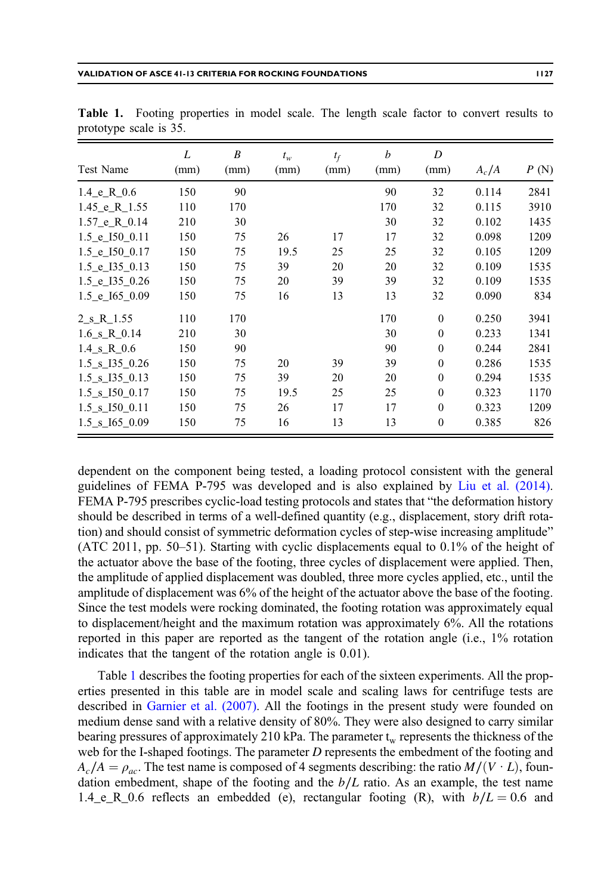| Test Name               | L<br>(mm) | B<br>(mm) | $t_w$<br>(mm) | $t_f$<br>(mm) | b<br>(mm) | D<br>(mm) | $A_c/A$ | P(N) |
|-------------------------|-----------|-----------|---------------|---------------|-----------|-----------|---------|------|
|                         |           |           |               |               |           |           |         |      |
| 1.4 e R $0.6$           | 150       | 90        |               |               | 90        | 32        | 0.114   | 2841 |
| $1.45$ e R $1.55$       | 110       | 170       |               |               | 170       | 32        | 0.115   | 3910 |
| $1.57$ e R $0.14$       | 210       | 30        |               |               | 30        | 32        | 0.102   | 1435 |
| 1.5 e I50 0.11          | 150       | 75        | 26            | 17            | 17        | 32        | 0.098   | 1209 |
| 1.5 e I50 0.17          | 150       | 75        | 19.5          | 25            | 25        | 32        | 0.105   | 1209 |
| 1.5 e I35 0.13          | 150       | 75        | 39            | 20            | 20        | 32        | 0.109   | 1535 |
| 1.5 e I35 0.26          | 150       | 75        | 20            | 39            | 39        | 32        | 0.109   | 1535 |
| 1.5 e I65 0.09          | 150       | 75        | 16            | 13            | 13        | 32        | 0.090   | 834  |
| 2 s R 1.55              | 110       | 170       |               |               | 170       | $\Omega$  | 0.250   | 3941 |
| $1.6 \text{ s R } 0.14$ | 210       | 30        |               |               | 30        | $\theta$  | 0.233   | 1341 |
| 1.4 s R 0.6             | 150       | 90        |               |               | 90        | $\Omega$  | 0.244   | 2841 |
| 1.5 s 135 0.26          | 150       | 75        | 20            | 39            | 39        | $\theta$  | 0.286   | 1535 |
| 1.5 s I35 0.13          | 150       | 75        | 39            | 20            | 20        | $\theta$  | 0.294   | 1535 |
| 1.5 s I50 0.17          | 150       | 75        | 19.5          | 25            | 25        | $\theta$  | 0.323   | 1170 |
| 1.5 s I50 0.11          | 150       | 75        | 26            | 17            | 17        | $\Omega$  | 0.323   | 1209 |
| 1.5 s 165 0.09          | 150       | 75        | 16            | 13            | 13        | $\theta$  | 0.385   | 826  |

<span id="page-6-0"></span>Table 1. Footing properties in model scale. The length scale factor to convert results to prototype scale is 35.

dependent on the component being tested, a loading protocol consistent with the general guidelines of FEMA P-795 was developed and is also explained by [Liu et al. \(2014\).](#page-19-0) FEMA P-795 prescribes cyclic-load testing protocols and states that "the deformation history should be described in terms of a well-defined quantity (e.g., displacement, story drift rotation) and should consist of symmetric deformation cycles of step-wise increasing amplitude" (ATC 2011, pp. 50–51). Starting with cyclic displacements equal to 0.1% of the height of the actuator above the base of the footing, three cycles of displacement were applied. Then, the amplitude of applied displacement was doubled, three more cycles applied, etc., until the amplitude of displacement was 6% of the height of the actuator above the base of the footing. Since the test models were rocking dominated, the footing rotation was approximately equal to displacement/height and the maximum rotation was approximately 6%. All the rotations reported in this paper are reported as the tangent of the rotation angle (i.e., 1% rotation indicates that the tangent of the rotation angle is 0.01).

Table 1 describes the footing properties for each of the sixteen experiments. All the properties presented in this table are in model scale and scaling laws for centrifuge tests are described in [Garnier et al. \(2007\)](#page-18-0). All the footings in the present study were founded on medium dense sand with a relative density of 80%. They were also designed to carry similar bearing pressures of approximately 210 kPa. The parameter  $t_w$  represents the thickness of the web for the I-shaped footings. The parameter D represents the embedment of the footing and  $A_c/A = \rho_{ac}$ . The test name is composed of 4 segments describing: the ratio  $M/(V \cdot L)$ , foundation embedment, shape of the footing and the  $b/L$  ratio. As an example, the test name 1.4\_e\_R\_0.6 reflects an embedded (e), rectangular footing (R), with  $b/L = 0.6$  and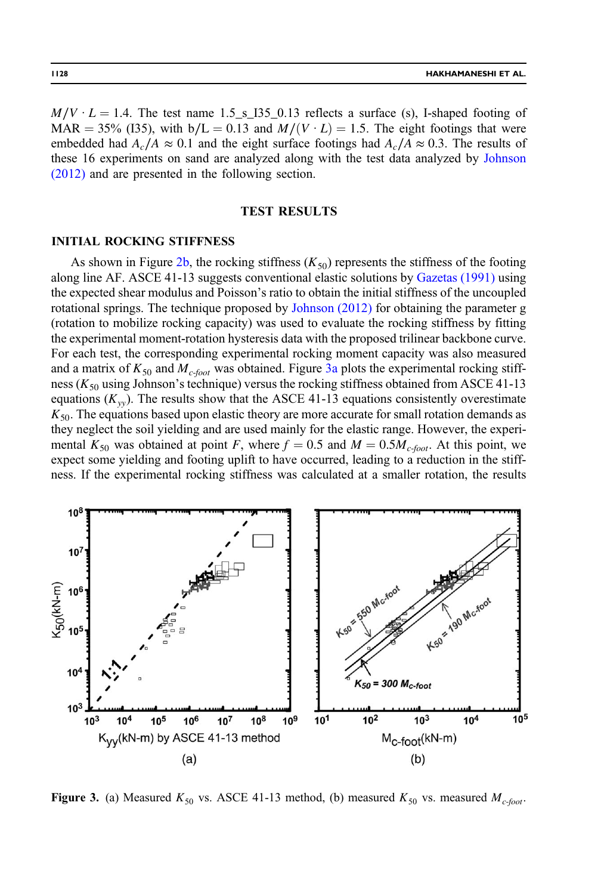<span id="page-7-0"></span> $M/V \cdot L = 1.4$ . The test name 1.5 s I35 0.13 reflects a surface (s), I-shaped footing of MAR = 35% (I35), with b/L = 0.13 and  $M/(V \cdot L) = 1.5$ . The eight footings that were embedded had  $A_c/A \approx 0.1$  and the eight surface footings had  $A_c/A \approx 0.3$ . The results of these 16 experiments on sand are analyzed along with the test data analyzed by [Johnson](#page-19-0) [\(2012\)](#page-19-0) and are presented in the following section.

## TEST RESULTS

#### INITIAL ROCKING STIFFNESS

As shown in Figure [2b](#page-3-0), the rocking stiffness  $(K_{50})$  represents the stiffness of the footing along line AF. ASCE 41-13 suggests conventional elastic solutions by [Gazetas \(1991\)](#page-18-0) using the expected shear modulus and Poisson's ratio to obtain the initial stiffness of the uncoupled rotational springs. The technique proposed by [Johnson \(2012\)](#page-19-0) for obtaining the parameter g (rotation to mobilize rocking capacity) was used to evaluate the rocking stiffness by fitting the experimental moment-rotation hysteresis data with the proposed trilinear backbone curve. For each test, the corresponding experimental rocking moment capacity was also measured and a matrix of  $K_{50}$  and  $M_{c\text{-foot}}$  was obtained. Figure 3a plots the experimental rocking stiffness ( $K_{50}$  using Johnson's technique) versus the rocking stiffness obtained from ASCE 41-13 equations  $(K_{yy})$ . The results show that the ASCE 41-13 equations consistently overestimate  $K_{50}$ . The equations based upon elastic theory are more accurate for small rotation demands as they neglect the soil yielding and are used mainly for the elastic range. However, the experimental  $K_{50}$  was obtained at point F, where  $f = 0.5$  and  $M = 0.5M_{c\text{-foot}}$ . At this point, we expect some yielding and footing uplift to have occurred, leading to a reduction in the stiffness. If the experimental rocking stiffness was calculated at a smaller rotation, the results



**Figure 3.** (a) Measured  $K_{50}$  vs. ASCE 41-13 method, (b) measured  $K_{50}$  vs. measured  $M_{c\text{-}foot}$ .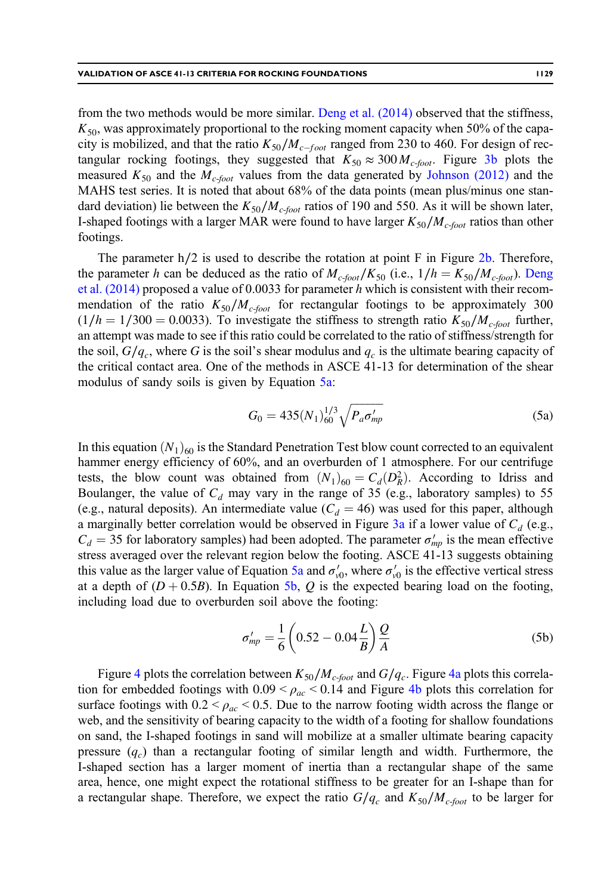from the two methods would be more similar. [Deng et al. \(2014\)](#page-18-0) observed that the stiffness,  $K_{50}$ , was approximately proportional to the rocking moment capacity when 50% of the capacity is mobilized, and that the ratio  $K_{50}/M_{c-foot}$  ranged from 230 to 460. For design of rectangular rocking footings, they suggested that  $K_{50} \approx 300 M_{c\text{-foot}}$ . Figure [3b](#page-7-0) plots the measured  $K_{50}$  and the  $M_{c\text{-}foot}$  values from the data generated by [Johnson \(2012\)](#page-19-0) and the MAHS test series. It is noted that about 68% of the data points (mean plus/minus one standard deviation) lie between the  $K_{50}/M_{c\text{-}foot}$  ratios of 190 and 550. As it will be shown later, I-shaped footings with a larger MAR were found to have larger  $K_{50}/M_{c\text{-}foot}$  ratios than other footings.

The parameter h/2 is used to describe the rotation at point F in Figure [2b.](#page-3-0) Therefore, the parameter h can be deduced as the ratio of  $M_{c\text{-}foot}/K_{50}$  (i.e.,  $1/h = K_{50}/M_{c\text{-}foot}$ ). [Deng](#page-18-0) et al.  $(2014)$  proposed a value of 0.0033 for parameter h which is consistent with their recommendation of the ratio  $K_{50}/M_{c\text{-}foot}$  for rectangular footings to be approximately 300  $(1/h = 1/300 = 0.0033)$ . To investigate the stiffness to strength ratio  $K_{50}/M_{c\text{-}foot}$  further, an attempt was made to see if this ratio could be correlated to the ratio of stiffness/strength for the soil,  $G/q_c$ , where G is the soil's shear modulus and  $q_c$  is the ultimate bearing capacity of the critical contact area. One of the methods in ASCE 41-13 for determination of the shear modulus of sandy soils is given by Equation 5a:

$$
G_0 = 435(N_1)_{60}^{1/3} \sqrt{P_a \sigma'_{mp}} \tag{5a}
$$

In this equation  $(N_1)_{60}$  is the Standard Penetration Test blow count corrected to an equivalent hammer energy efficiency of 60%, and an overburden of 1 atmosphere. For our centrifuge tests, the blow count was obtained from  $(N_1)_{60} = C_d(D_R^2)$ . According to Idriss and Boulanger, the value of  $C_d$  may vary in the range of 35 (e.g., laboratory samples) to 55 (e.g., natural deposits). An intermediate value ( $C_d = 46$ ) was used for this paper, although a marginally better correlation would be observed in Figure [3a](#page-7-0) if a lower value of  $C_d$  (e.g.,  $C_d = 35$  for laboratory samples) had been adopted. The parameter  $\sigma'_{mp}$  is the mean effective stress averaged over the relevant region below the footing. ASCE 41-13 suggests obtaining this value as the larger value of Equation 5a and  $\sigma'_{v0}$ , where  $\sigma'_{v0}$  is the effective vertical stress at a depth of  $(D + 0.5B)$ . In Equation 5b, Q is the expected bearing load on the footing, including load due to overburden soil above the footing:

$$
\sigma'_{mp} = \frac{1}{6} \left( 0.52 - 0.04 \frac{L}{B} \right) \frac{Q}{A}
$$
 (5b)

Figure [4](#page-9-0) plots the correlation between  $K_{50}/M_{c\text{-foot}}$  and  $G/q_c$ . Figure [4a](#page-9-0) plots this correlation for embedded footings with  $0.09 < \rho_{ac} < 0.14$  and Figure [4b](#page-9-0) plots this correlation for surface footings with  $0.2 < \rho_{ac} < 0.5$ . Due to the narrow footing width across the flange or web, and the sensitivity of bearing capacity to the width of a footing for shallow foundations on sand, the I-shaped footings in sand will mobilize at a smaller ultimate bearing capacity pressure  $(q_c)$  than a rectangular footing of similar length and width. Furthermore, the I-shaped section has a larger moment of inertia than a rectangular shape of the same area, hence, one might expect the rotational stiffness to be greater for an I-shape than for a rectangular shape. Therefore, we expect the ratio  $G/q_c$  and  $K_{50}/M_c$ -foot to be larger for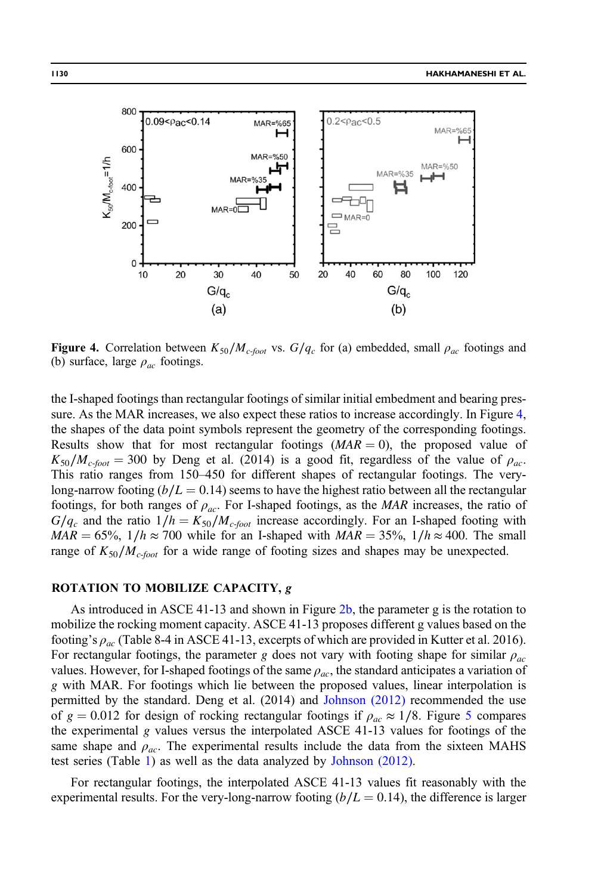<span id="page-9-0"></span>

**Figure 4.** Correlation between  $K_{50}/M_{c\text{-foot}}$  vs.  $G/q_c$  for (a) embedded, small  $\rho_{ac}$  footings and (b) surface, large  $\rho_{ac}$  footings.

the I-shaped footings than rectangular footings of similar initial embedment and bearing pressure. As the MAR increases, we also expect these ratios to increase accordingly. In Figure 4, the shapes of the data point symbols represent the geometry of the corresponding footings. Results show that for most rectangular footings  $(MAR = 0)$ , the proposed value of  $K_{50}/M_{c\text{-}foot} = 300$  by Deng et al. (2014) is a good fit, regardless of the value of  $\rho_{ac}$ . This ratio ranges from 150–450 for different shapes of rectangular footings. The verylong-narrow footing ( $b/L = 0.14$ ) seems to have the highest ratio between all the rectangular footings, for both ranges of  $\rho_{ac}$ . For I-shaped footings, as the MAR increases, the ratio of  $G/q_c$  and the ratio  $1/h = K_{50}/M_c$ -foot increase accordingly. For an I-shaped footing with  $MAR = 65\%, 1/h \approx 700$  while for an I-shaped with  $MAR = 35\%, 1/h \approx 400$ . The small range of  $K_{50}/M_{c\text{-foot}}$  for a wide range of footing sizes and shapes may be unexpected.

## ROTATION TO MOBILIZE CAPACITY, g

As introduced in ASCE 41-13 and shown in Figure [2b,](#page-3-0) the parameter g is the rotation to mobilize the rocking moment capacity. ASCE 41-13 proposes different g values based on the footing's  $\rho_{ac}$  (Table 8-4 in ASCE 41-13, excerpts of which are provided in Kutter et al. 2016). For rectangular footings, the parameter g does not vary with footing shape for similar  $\rho_{ac}$ values. However, for I-shaped footings of the same  $\rho_{ac}$ , the standard anticipates a variation of g with MAR. For footings which lie between the proposed values, linear interpolation is permitted by the standard. Deng et al. (2014) and [Johnson \(2012\)](#page-19-0) recommended the use of  $g = 0.012$  for design of rocking rectangular footings if  $\rho_{ac} \approx 1/8$ . Figure [5](#page-10-0) compares the experimental  $g$  values versus the interpolated ASCE 41-13 values for footings of the same shape and  $\rho_{ac}$ . The experimental results include the data from the sixteen MAHS test series (Table [1\)](#page-6-0) as well as the data analyzed by [Johnson \(2012\).](#page-19-0)

For rectangular footings, the interpolated ASCE 41-13 values fit reasonably with the experimental results. For the very-long-narrow footing  $(b/L = 0.14)$ , the difference is larger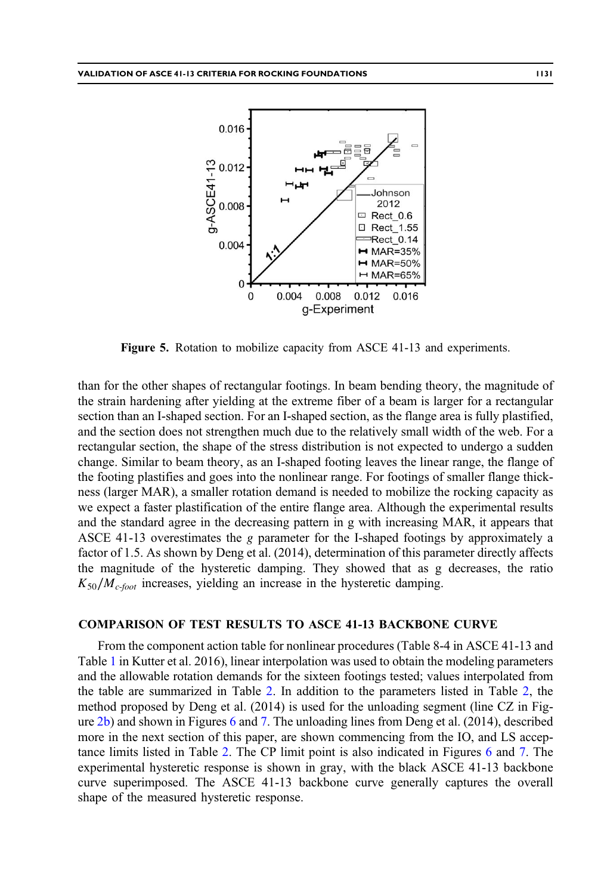<span id="page-10-0"></span>

Figure 5. Rotation to mobilize capacity from ASCE 41-13 and experiments.

than for the other shapes of rectangular footings. In beam bending theory, the magnitude of the strain hardening after yielding at the extreme fiber of a beam is larger for a rectangular section than an I-shaped section. For an I-shaped section, as the flange area is fully plastified, and the section does not strengthen much due to the relatively small width of the web. For a rectangular section, the shape of the stress distribution is not expected to undergo a sudden change. Similar to beam theory, as an I-shaped footing leaves the linear range, the flange of the footing plastifies and goes into the nonlinear range. For footings of smaller flange thickness (larger MAR), a smaller rotation demand is needed to mobilize the rocking capacity as we expect a faster plastification of the entire flange area. Although the experimental results and the standard agree in the decreasing pattern in g with increasing MAR, it appears that ASCE 41-13 overestimates the g parameter for the I-shaped footings by approximately a factor of 1.5. As shown by Deng et al. (2014), determination of this parameter directly affects the magnitude of the hysteretic damping. They showed that as g decreases, the ratio  $K_{50}/M_{c\text{-foot}}$  increases, yielding an increase in the hysteretic damping.

#### COMPARISON OF TEST RESULTS TO ASCE 41-13 BACKBONE CURVE

From the component action table for nonlinear procedures (Table 8-4 in ASCE 41-13 and Table [1](#page-6-0) in Kutter et al. 2016), linear interpolation was used to obtain the modeling parameters and the allowable rotation demands for the sixteen footings tested; values interpolated from the table are summarized in Table [2.](#page-11-0) In addition to the parameters listed in Table [2](#page-11-0), the method proposed by Deng et al. (2014) is used for the unloading segment (line CZ in Figure [2b\)](#page-3-0) and shown in Figures [6](#page-12-0) and [7.](#page-13-0) The unloading lines from Deng et al. (2014), described more in the next section of this paper, are shown commencing from the IO, and LS acceptance limits listed in Table [2](#page-11-0). The CP limit point is also indicated in Figures [6](#page-12-0) and [7](#page-13-0). The experimental hysteretic response is shown in gray, with the black ASCE 41-13 backbone curve superimposed. The ASCE 41-13 backbone curve generally captures the overall shape of the measured hysteretic response.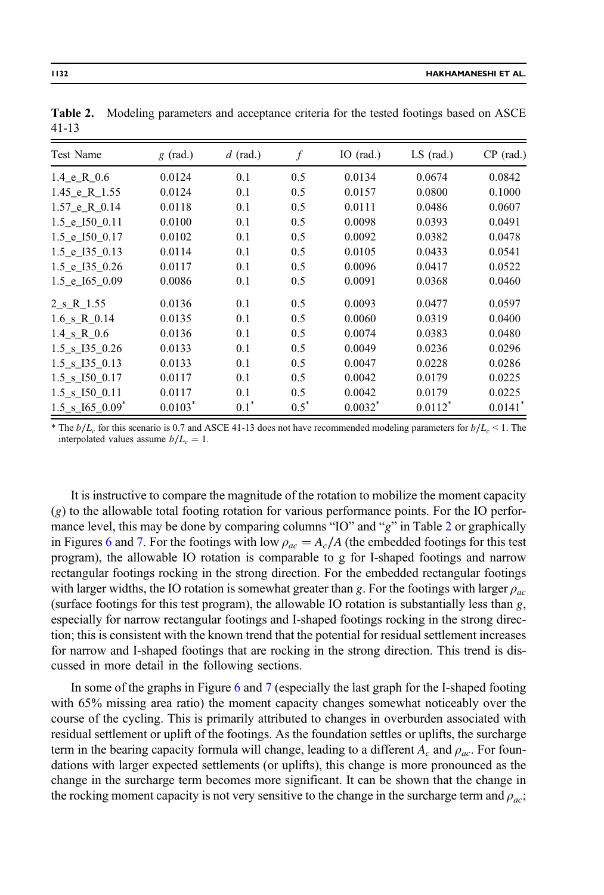| Test Name                                | $g$ (rad.) | $d$ (rad.) | f       | IO $(rad.)$ | $LS$ (rad.)           | $CP$ (rad.)           |
|------------------------------------------|------------|------------|---------|-------------|-----------------------|-----------------------|
| $1.4 \text{ } e \text{ } R \text{ } 0.6$ | 0.0124     | 0.1        | 0.5     | 0.0134      | 0.0674                | 0.0842                |
| 1.45 e R 1.55                            | 0.0124     | 0.1        | 0.5     | 0.0157      | 0.0800                | 0.1000                |
| $1.57$ e R $0.14$                        | 0.0118     | 0.1        | 0.5     | 0.0111      | 0.0486                | 0.0607                |
| 1.5 e I50 0.11                           | 0.0100     | 0.1        | 0.5     | 0.0098      | 0.0393                | 0.0491                |
| 1.5 e I50 0.17                           | 0.0102     | 0.1        | 0.5     | 0.0092      | 0.0382                | 0.0478                |
| $1.5$ e $135$ 0.13                       | 0.0114     | 0.1        | 0.5     | 0.0105      | 0.0433                | 0.0541                |
| 1.5 e I35 0.26                           | 0.0117     | 0.1        | 0.5     | 0.0096      | 0.0417                | 0.0522                |
| 1.5 e I65 0.09                           | 0.0086     | 0.1        | 0.5     | 0.0091      | 0.0368                | 0.0460                |
| 2 s R 1.55                               | 0.0136     | 0.1        | 0.5     | 0.0093      | 0.0477                | 0.0597                |
| $1.6 \text{ s R } 0.14$                  | 0.0135     | 0.1        | 0.5     | 0.0060      | 0.0319                | 0.0400                |
| $1.4 \text{ s} \cdot R$ 0.6              | 0.0136     | 0.1        | 0.5     | 0.0074      | 0.0383                | 0.0480                |
| 1.5 s 135 0.26                           | 0.0133     | 0.1        | 0.5     | 0.0049      | 0.0236                | 0.0296                |
| 1.5 s I35 0.13                           | 0.0133     | 0.1        | 0.5     | 0.0047      | 0.0228                | 0.0286                |
| $1.5$ _s_I50_0.17                        | 0.0117     | 0.1        | 0.5     | 0.0042      | 0.0179                | 0.0225                |
| $1.5$ _s_I50_0.11                        | 0.0117     | 0.1        | 0.5     | 0.0042      | 0.0179                | 0.0225                |
| $1.5$ _s_I65_0.09 <sup>*</sup>           | $0.0103*$  | $0.1^*$    | $0.5^*$ | $0.0032^*$  | $0.0112$ <sup>*</sup> | $0.0141$ <sup>*</sup> |

<span id="page-11-0"></span>Table 2. Modeling parameters and acceptance criteria for the tested footings based on ASCE 41-13

The  $b/L_c$  for this scenario is 0.7 and ASCE 41-13 does not have recommended modeling parameters for  $b/L_c$  < 1. The interpolated values assume  $b/L_c = 1$ .

It is instructive to compare the magnitude of the rotation to mobilize the moment capacity (g) to the allowable total footing rotation for various performance points. For the IO performance level, this may be done by comparing columns "IO" and " $g$ " in Table 2 or graphically in Figures [6](#page-12-0) and [7](#page-13-0). For the footings with low  $\rho_{ac} = A_c/A$  (the embedded footings for this test program), the allowable IO rotation is comparable to g for I-shaped footings and narrow rectangular footings rocking in the strong direction. For the embedded rectangular footings with larger widths, the IO rotation is somewhat greater than g. For the footings with larger  $\rho_{ac}$ (surface footings for this test program), the allowable IO rotation is substantially less than  $g$ , especially for narrow rectangular footings and I-shaped footings rocking in the strong direction; this is consistent with the known trend that the potential for residual settlement increases for narrow and I-shaped footings that are rocking in the strong direction. This trend is discussed in more detail in the following sections.

In some of the graphs in Figure [6](#page-12-0) and [7](#page-13-0) (especially the last graph for the I-shaped footing with 65% missing area ratio) the moment capacity changes somewhat noticeably over the course of the cycling. This is primarily attributed to changes in overburden associated with residual settlement or uplift of the footings. As the foundation settles or uplifts, the surcharge term in the bearing capacity formula will change, leading to a different  $A_c$  and  $\rho_{ac}$ . For foundations with larger expected settlements (or uplifts), this change is more pronounced as the change in the surcharge term becomes more significant. It can be shown that the change in the rocking moment capacity is not very sensitive to the change in the surcharge term and  $\rho_{ac}$ ;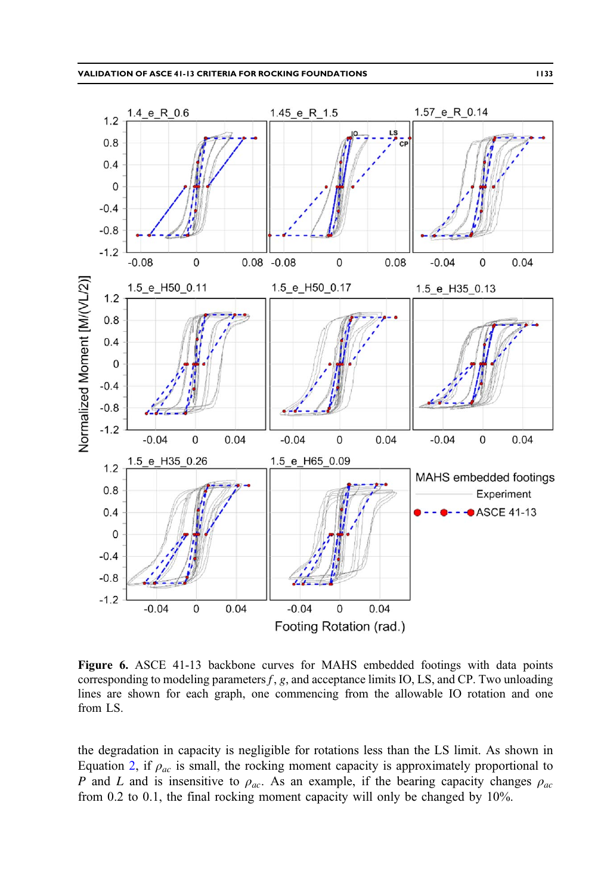<span id="page-12-0"></span>

Figure 6. ASCE 41-13 backbone curves for MAHS embedded footings with data points corresponding to modeling parameters  $f$ ,  $g$ , and acceptance limits IO, LS, and CP. Two unloading lines are shown for each graph, one commencing from the allowable IO rotation and one from LS.

the degradation in capacity is negligible for rotations less than the LS limit. As shown in Equation [2](#page-2-0), if  $\rho_{ac}$  is small, the rocking moment capacity is approximately proportional to P and L and is insensitive to  $\rho_{ac}$ . As an example, if the bearing capacity changes  $\rho_{ac}$ from 0.2 to 0.1, the final rocking moment capacity will only be changed by 10%.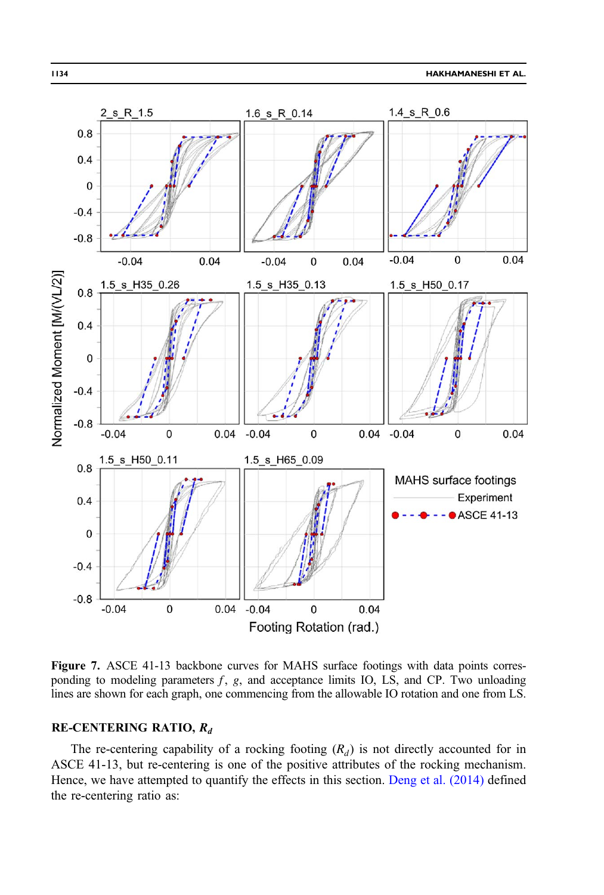<span id="page-13-0"></span>

Figure 7. ASCE 41-13 backbone curves for MAHS surface footings with data points corresponding to modeling parameters  $f$ ,  $g$ , and acceptance limits IO, LS, and CP. Two unloading lines are shown for each graph, one commencing from the allowable IO rotation and one from LS.

## RE-CENTERING RATIO,  $R_d$

The re-centering capability of a rocking footing  $(R_d)$  is not directly accounted for in ASCE 41-13, but re-centering is one of the positive attributes of the rocking mechanism. Hence, we have attempted to quantify the effects in this section. [Deng et al. \(2014\)](#page-18-0) defined the re-centering ratio as: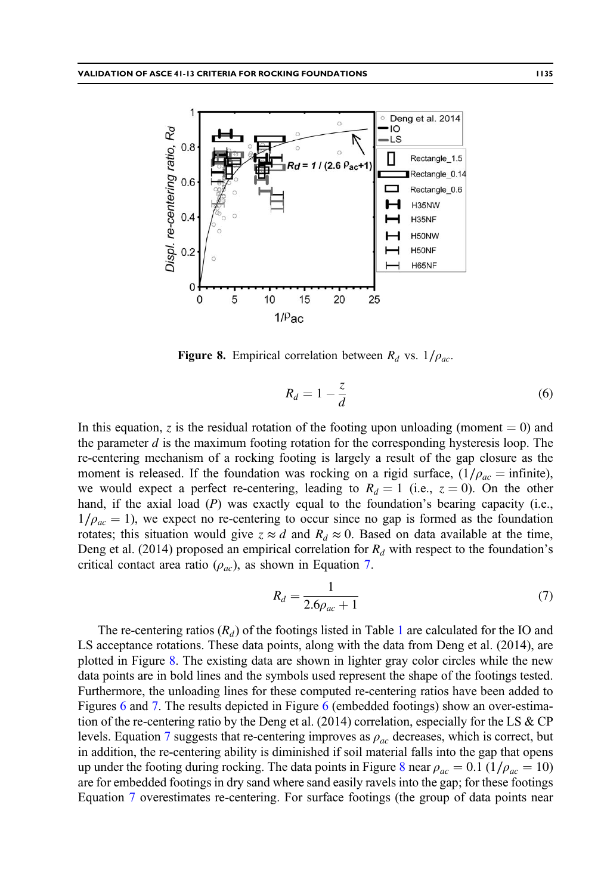<span id="page-14-0"></span>

Figure 8. Empirical correlation between  $R_d$  vs.  $1/\rho_{ac}$ .

$$
R_d = 1 - \frac{z}{d} \tag{6}
$$

In this equation, z is the residual rotation of the footing upon unloading (moment  $= 0$ ) and the parameter  $d$  is the maximum footing rotation for the corresponding hysteresis loop. The re-centering mechanism of a rocking footing is largely a result of the gap closure as the moment is released. If the foundation was rocking on a rigid surface,  $(1/\rho_{ac} = \text{infinite})$ , we would expect a perfect re-centering, leading to  $R_d = 1$  (i.e.,  $z = 0$ ). On the other hand, if the axial load (P) was exactly equal to the foundation's bearing capacity (i.e.,  $1/\rho_{ac} = 1$ ), we expect no re-centering to occur since no gap is formed as the foundation rotates; this situation would give  $z \approx d$  and  $R_d \approx 0$ . Based on data available at the time, Deng et al. (2014) proposed an empirical correlation for  $R<sub>d</sub>$  with respect to the foundation's critical contact area ratio  $(\rho_{ac})$ , as shown in Equation 7.

$$
R_d = \frac{1}{2.6\rho_{ac} + 1} \tag{7}
$$

The re-centering ratios  $(R_d)$  of the footings listed in Table [1](#page-6-0) are calculated for the IO and LS acceptance rotations. These data points, along with the data from Deng et al. (2014), are plotted in Figure 8. The existing data are shown in lighter gray color circles while the new data points are in bold lines and the symbols used represent the shape of the footings tested. Furthermore, the unloading lines for these computed re-centering ratios have been added to Figures [6](#page-12-0) and [7](#page-13-0). The results depicted in Figure [6](#page-12-0) (embedded footings) show an over-estimation of the re-centering ratio by the Deng et al. (2014) correlation, especially for the LS  $\&$  CP levels. Equation 7 suggests that re-centering improves as  $\rho_{ac}$  decreases, which is correct, but in addition, the re-centering ability is diminished if soil material falls into the gap that opens up under the footing during rocking. The data points in Figure 8 near  $\rho_{ac} = 0.1$  (1/ $\rho_{ac} = 10$ ) are for embedded footings in dry sand where sand easily ravels into the gap; for these footings Equation 7 overestimates re-centering. For surface footings (the group of data points near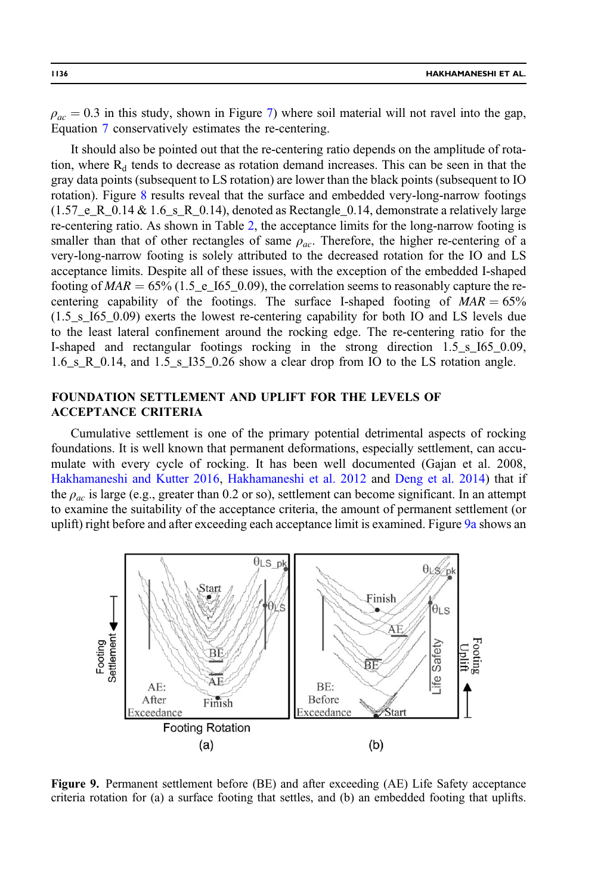<span id="page-15-0"></span> $\rho_{ac} = 0.3$  in this study, shown in Figure [7\)](#page-13-0) where soil material will not ravel into the gap, Equation [7](#page-14-0) conservatively estimates the re-centering.

It should also be pointed out that the re-centering ratio depends on the amplitude of rotation, where  $R_d$  tends to decrease as rotation demand increases. This can be seen in that the gray data points (subsequent to LS rotation) are lower than the black points (subsequent to IO rotation). Figure [8](#page-14-0) results reveal that the surface and embedded very-long-narrow footings  $(1.57<sub>e</sub> R<sub>0.14</sub> & 1.6<sub>s</sub> R<sub>0.14</sub>),$  denoted as Rectangle<sub>0.14</sub>, demonstrate a relatively large re-centering ratio. As shown in Table [2,](#page-11-0) the acceptance limits for the long-narrow footing is smaller than that of other rectangles of same  $\rho_{ac}$ . Therefore, the higher re-centering of a very-long-narrow footing is solely attributed to the decreased rotation for the IO and LS acceptance limits. Despite all of these issues, with the exception of the embedded I-shaped footing of  $MAR = 65\%$  (1.5\_e\_I65\_0.09), the correlation seems to reasonably capture the recentering capability of the footings. The surface I-shaped footing of  $MAR = 65\%$ (1.5\_s\_I65\_0.09) exerts the lowest re-centering capability for both IO and LS levels due to the least lateral confinement around the rocking edge. The re-centering ratio for the I-shaped and rectangular footings rocking in the strong direction 1.5\_s\_I65\_0.09,  $1.6\_s_R_0.14$ , and  $1.5\_s_L135_0.26$  show a clear drop from IO to the LS rotation angle.

# FOUNDATION SETTLEMENT AND UPLIFT FOR THE LEVELS OF ACCEPTANCE CRITERIA

Cumulative settlement is one of the primary potential detrimental aspects of rocking foundations. It is well known that permanent deformations, especially settlement, can accumulate with every cycle of rocking. It has been well documented (Gajan et al. 2008, [Hakhamaneshi and Kutter 2016,](#page-19-0) [Hakhamaneshi et al. 2012](#page-18-0) and [Deng et al. 2014\)](#page-18-0) that if the  $\rho_{ac}$  is large (e.g., greater than 0.2 or so), settlement can become significant. In an attempt to examine the suitability of the acceptance criteria, the amount of permanent settlement (or uplift) right before and after exceeding each acceptance limit is examined. Figure 9a shows an



Figure 9. Permanent settlement before (BE) and after exceeding (AE) Life Safety acceptance criteria rotation for (a) a surface footing that settles, and (b) an embedded footing that uplifts.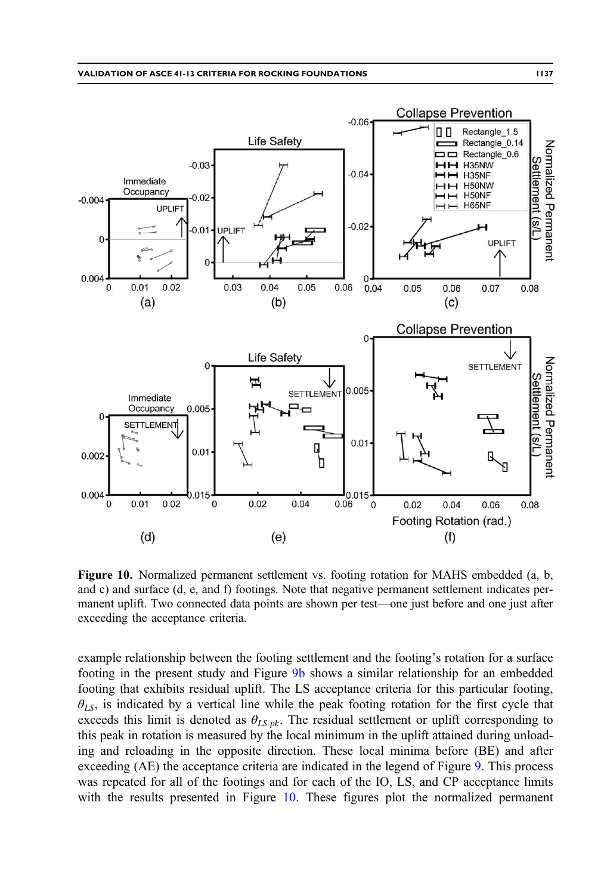<span id="page-16-0"></span>

Figure 10. Normalized permanent settlement vs. footing rotation for MAHS embedded (a, b, and c) and surface (d, e, and f) footings. Note that negative permanent settlement indicates permanent uplift. Two connected data points are shown per test—one just before and one just after exceeding the acceptance criteria.

example relationship between the footing settlement and the footing's rotation for a surface footing in the present study and Figure [9b](#page-15-0) shows a similar relationship for an embedded footing that exhibits residual uplift. The LS acceptance criteria for this particular footing,  $\theta_{LS}$ , is indicated by a vertical line while the peak footing rotation for the first cycle that exceeds this limit is denoted as  $\theta_{LS-pk}$ . The residual settlement or uplift corresponding to this peak in rotation is measured by the local minimum in the uplift attained during unloading and reloading in the opposite direction. These local minima before (BE) and after exceeding (AE) the acceptance criteria are indicated in the legend of Figure [9](#page-15-0). This process was repeated for all of the footings and for each of the IO, LS, and CP acceptance limits with the results presented in Figure 10. These figures plot the normalized permanent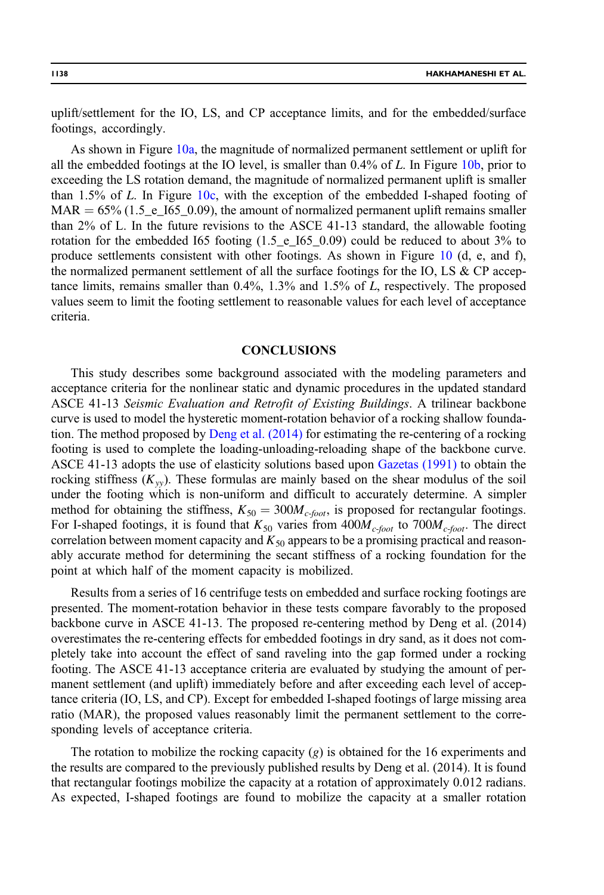uplift/settlement for the IO, LS, and CP acceptance limits, and for the embedded/surface footings, accordingly.

As shown in Figure [10a,](#page-16-0) the magnitude of normalized permanent settlement or uplift for all the embedded footings at the IO level, is smaller than  $0.4\%$  of L. In Figure [10b,](#page-16-0) prior to exceeding the LS rotation demand, the magnitude of normalized permanent uplift is smaller than  $1.5\%$  of L. In Figure  $10c$ , with the exception of the embedded I-shaped footing of  $MAR = 65\% (1.5\text{e}$ ,  $165\text{e}$ , 0.09), the amount of normalized permanent uplift remains smaller than 2% of L. In the future revisions to the ASCE 41-13 standard, the allowable footing rotation for the embedded I65 footing  $(1.5<sub>-e</sub>165<sub>-0.09</sub>)$  could be reduced to about 3% to produce settlements consistent with other footings. As shown in Figure [10](#page-16-0) (d, e, and f), the normalized permanent settlement of all the surface footings for the IO, LS  $\&$  CP acceptance limits, remains smaller than 0.4%, 1.3% and 1.5% of L, respectively. The proposed values seem to limit the footing settlement to reasonable values for each level of acceptance criteria.

#### CONCLUSIONS

This study describes some background associated with the modeling parameters and acceptance criteria for the nonlinear static and dynamic procedures in the updated standard ASCE 41-13 Seismic Evaluation and Retrofit of Existing Buildings. A trilinear backbone curve is used to model the hysteretic moment-rotation behavior of a rocking shallow foundation. The method proposed by [Deng et al. \(2014\)](#page-18-0) for estimating the re-centering of a rocking footing is used to complete the loading-unloading-reloading shape of the backbone curve. ASCE 41-13 adopts the use of elasticity solutions based upon [Gazetas \(1991\)](#page-18-0) to obtain the rocking stiffness  $(K_{yy})$ . These formulas are mainly based on the shear modulus of the soil under the footing which is non-uniform and difficult to accurately determine. A simpler method for obtaining the stiffness,  $K_{50} = 300 M_{c\text{-foot}}$ , is proposed for rectangular footings. For I-shaped footings, it is found that  $K_{50}$  varies from  $400M_{c\text{-}foot}$  to  $700M_{c\text{-}foot}$ . The direct correlation between moment capacity and  $K_{50}$  appears to be a promising practical and reasonably accurate method for determining the secant stiffness of a rocking foundation for the point at which half of the moment capacity is mobilized.

Results from a series of 16 centrifuge tests on embedded and surface rocking footings are presented. The moment-rotation behavior in these tests compare favorably to the proposed backbone curve in ASCE 41-13. The proposed re-centering method by Deng et al. (2014) overestimates the re-centering effects for embedded footings in dry sand, as it does not completely take into account the effect of sand raveling into the gap formed under a rocking footing. The ASCE 41-13 acceptance criteria are evaluated by studying the amount of permanent settlement (and uplift) immediately before and after exceeding each level of acceptance criteria (IO, LS, and CP). Except for embedded I-shaped footings of large missing area ratio (MAR), the proposed values reasonably limit the permanent settlement to the corresponding levels of acceptance criteria.

The rotation to mobilize the rocking capacity  $(g)$  is obtained for the 16 experiments and the results are compared to the previously published results by Deng et al. (2014). It is found that rectangular footings mobilize the capacity at a rotation of approximately 0.012 radians. As expected, I-shaped footings are found to mobilize the capacity at a smaller rotation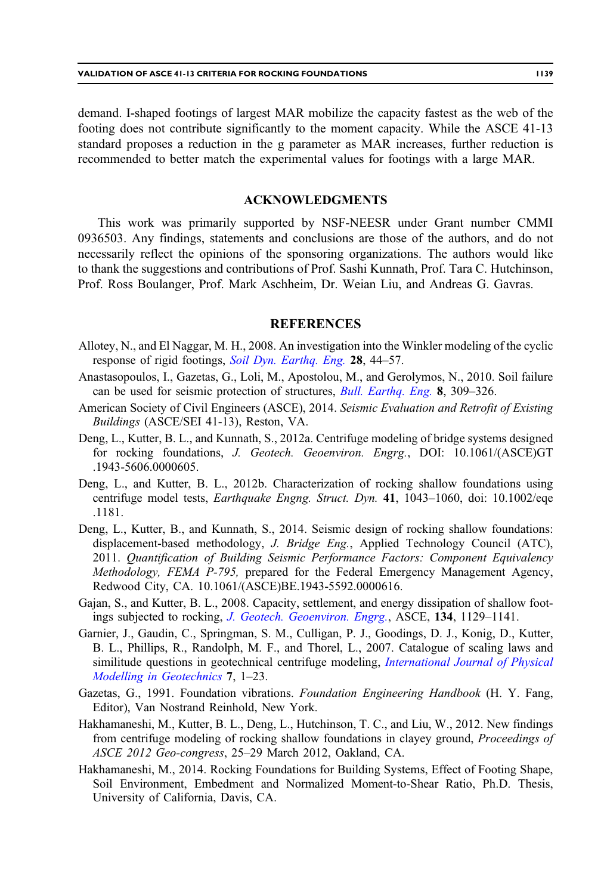<span id="page-18-0"></span>demand. I-shaped footings of largest MAR mobilize the capacity fastest as the web of the footing does not contribute significantly to the moment capacity. While the ASCE 41-13 standard proposes a reduction in the g parameter as MAR increases, further reduction is recommended to better match the experimental values for footings with a large MAR.

## ACKNOWLEDGMENTS

This work was primarily supported by NSF-NEESR under Grant number CMMI 0936503. Any findings, statements and conclusions are those of the authors, and do not necessarily reflect the opinions of the sponsoring organizations. The authors would like to thank the suggestions and contributions of Prof. Sashi Kunnath, Prof. Tara C. Hutchinson, Prof. Ross Boulanger, Prof. Mark Aschheim, Dr. Weian Liu, and Andreas G. Gavras.

## **REFERENCES**

- Allotey, N., and El Naggar, M. H., 2008. An investigation into the Winkler modeling of the cyclic response of rigid footings, [Soil Dyn. Earthq. Eng.](http://dx.doi.org/10.1016/j.soildyn.2007.04.003) 28, 44–57.
- Anastasopoulos, I., Gazetas, G., Loli, M., Apostolou, M., and Gerolymos, N., 2010. Soil failure can be used for seismic protection of structures, [Bull. Earthq. Eng.](http://dx.doi.org/10.1007/s10518-009-9145-2) 8, 309–326.
- American Society of Civil Engineers (ASCE), 2014. Seismic Evaluation and Retrofit of Existing Buildings (ASCE/SEI 41-13), Reston, VA.
- Deng, L., Kutter, B. L., and Kunnath, S., 2012a. Centrifuge modeling of bridge systems designed for rocking foundations, J. Geotech. Geoenviron. Engrg., DOI: 10.1061/(ASCE)GT .1943-5606.0000605.
- Deng, L., and Kutter, B. L., 2012b. Characterization of rocking shallow foundations using centrifuge model tests, Earthquake Engng. Struct. Dyn. 41, 1043–1060, doi: 10.1002/eqe .1181.
- Deng, L., Kutter, B., and Kunnath, S., 2014. Seismic design of rocking shallow foundations: displacement-based methodology, J. Bridge Eng., Applied Technology Council (ATC), 2011. Quantification of Building Seismic Performance Factors: Component Equivalency Methodology, FEMA P-795, prepared for the Federal Emergency Management Agency, Redwood City, CA. 10.1061/(ASCE)BE.1943-5592.0000616.
- Gajan, S., and Kutter, B. L., 2008. Capacity, settlement, and energy dissipation of shallow footings subjected to rocking, [J. Geotech. Geoenviron. Engrg.](http://dx.doi.org/10.1061/(ASCE)1090-0241(2008)134:8(1129)), ASCE, 134, 1129–1141.
- Garnier, J., Gaudin, C., Springman, S. M., Culligan, P. J., Goodings, D. J., Konig, D., Kutter, B. L., Phillips, R., Randolph, M. F., and Thorel, L., 2007. Catalogue of scaling laws and similitude questions in geotechnical centrifuge modeling, *[International Journal of Physical](http://dx.doi.org/10.1680/ijpmg.2007.070301)* [Modelling in Geotechnics](http://dx.doi.org/10.1680/ijpmg.2007.070301) 7, 1–23.
- Gazetas, G., 1991. Foundation vibrations. Foundation Engineering Handbook (H. Y. Fang, Editor), Van Nostrand Reinhold, New York.
- Hakhamaneshi, M., Kutter, B. L., Deng, L., Hutchinson, T. C., and Liu, W., 2012. New findings from centrifuge modeling of rocking shallow foundations in clayey ground, Proceedings of ASCE 2012 Geo-congress, 25–29 March 2012, Oakland, CA.
- Hakhamaneshi, M., 2014. Rocking Foundations for Building Systems, Effect of Footing Shape, Soil Environment, Embedment and Normalized Moment-to-Shear Ratio, Ph.D. Thesis, University of California, Davis, CA.